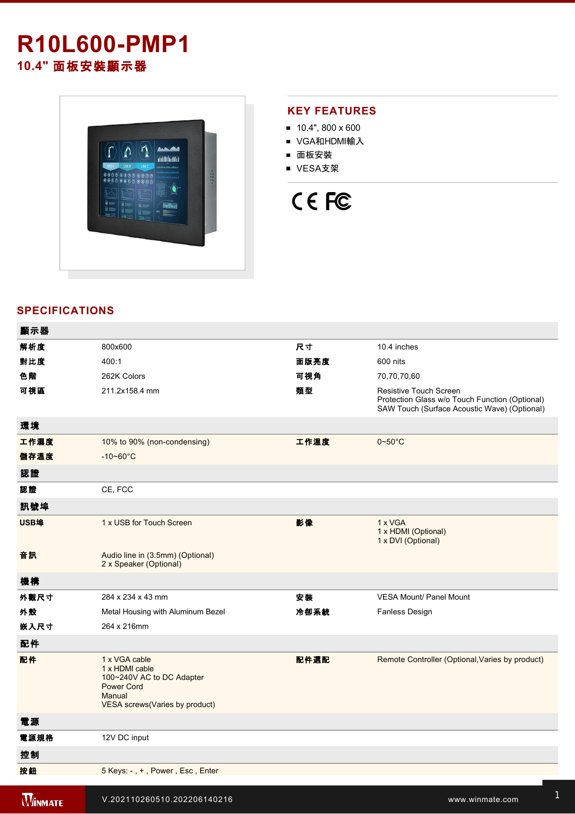## **R10L600-PMP1 10.4"** 面板安裝顯示器



### **KEY FEATURES**

- $10.4$ ", 800 x 600
- VGA和HDMI輸入
- 面板安裝
- VESA支架

# CE FC

#### **SPECIFICATIONS**

| 顯示器            |                                                                                                                               |      |                                                                                                                          |
|----------------|-------------------------------------------------------------------------------------------------------------------------------|------|--------------------------------------------------------------------------------------------------------------------------|
| 解析度            | 800x600                                                                                                                       | 尺寸   | 10.4 inches                                                                                                              |
| 對比度            | 400:1                                                                                                                         | 面版亮度 | 600 nits                                                                                                                 |
| 色階             | 262K Colors                                                                                                                   | 可視角  | 70,70,70,60                                                                                                              |
| 可視區            | 211.2x158.4 mm                                                                                                                | 類型   | Resistive Touch Screen<br>Protection Glass w/o Touch Function (Optional)<br>SAW Touch (Surface Acoustic Wave) (Optional) |
| 環境             |                                                                                                                               |      |                                                                                                                          |
| 工作濕度           | 10% to 90% (non-condensing)                                                                                                   | 工作溫度 | $0 - 50$ °C                                                                                                              |
| 儲存溫度           | $-10 - 60^{\circ}C$                                                                                                           |      |                                                                                                                          |
| 認證             |                                                                                                                               |      |                                                                                                                          |
| 認證             | CE, FCC                                                                                                                       |      |                                                                                                                          |
| 訊號埠            |                                                                                                                               |      |                                                                                                                          |
| USB埠           | 1 x USB for Touch Screen                                                                                                      | 影像   | 1 x VGA<br>1 x HDMI (Optional)<br>1 x DVI (Optional)                                                                     |
| 音訊             | Audio line in (3.5mm) (Optional)<br>2 x Speaker (Optional)                                                                    |      |                                                                                                                          |
| 機構             |                                                                                                                               |      |                                                                                                                          |
| 外觀尺寸           | 284 x 234 x 43 mm                                                                                                             | 安装   | VESA Mount/ Panel Mount                                                                                                  |
| 外殼             | Metal Housing with Aluminum Bezel                                                                                             | 冷卻系統 | Fanless Design                                                                                                           |
| 嵌入尺寸           | 264 x 216mm                                                                                                                   |      |                                                                                                                          |
| 配件             |                                                                                                                               |      |                                                                                                                          |
| 配件             | 1 x VGA cable<br>1 x HDMI cable<br>100~240V AC to DC Adapter<br><b>Power Cord</b><br>Manual<br>VESA screws(Varies by product) | 配件選配 | Remote Controller (Optional, Varies by product)                                                                          |
| 電源             |                                                                                                                               |      |                                                                                                                          |
| 電源規格           | 12V DC input                                                                                                                  |      |                                                                                                                          |
| 控制             |                                                                                                                               |      |                                                                                                                          |
| 按鈕             | 5 Keys: -, +, Power, Esc, Enter                                                                                               |      |                                                                                                                          |
| <b>WINMATE</b> | V.202110260510.202206140216                                                                                                   |      | www.winmate.com                                                                                                          |